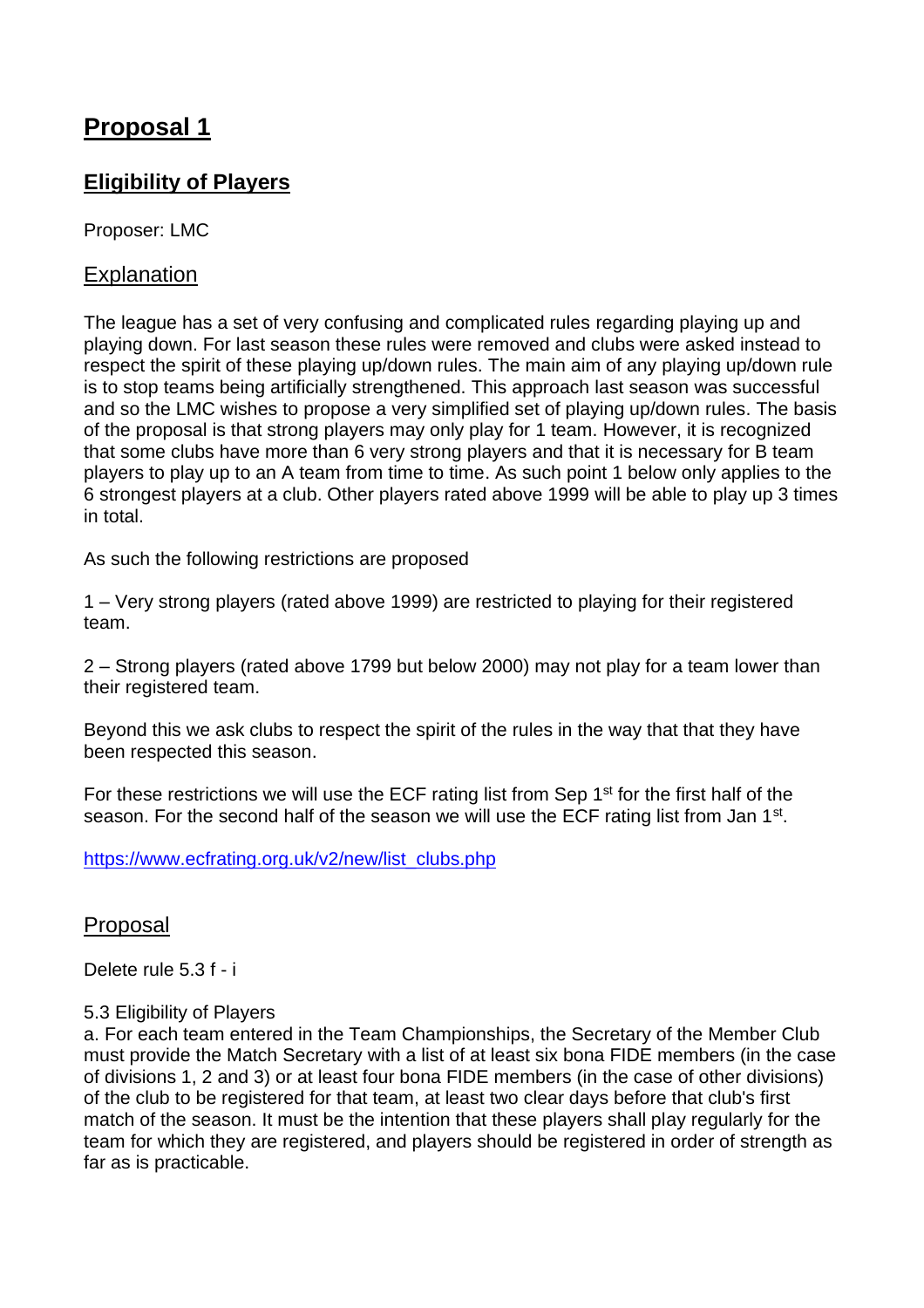# **Proposal 1**

# **Eligibility of Players**

Proposer: LMC

## Explanation

The league has a set of very confusing and complicated rules regarding playing up and playing down. For last season these rules were removed and clubs were asked instead to respect the spirit of these playing up/down rules. The main aim of any playing up/down rule is to stop teams being artificially strengthened. This approach last season was successful and so the LMC wishes to propose a very simplified set of playing up/down rules. The basis of the proposal is that strong players may only play for 1 team. However, it is recognized that some clubs have more than 6 very strong players and that it is necessary for B team players to play up to an A team from time to time. As such point 1 below only applies to the 6 strongest players at a club. Other players rated above 1999 will be able to play up 3 times in total.

As such the following restrictions are proposed

1 – Very strong players (rated above 1999) are restricted to playing for their registered team.

2 – Strong players (rated above 1799 but below 2000) may not play for a team lower than their registered team.

Beyond this we ask clubs to respect the spirit of the rules in the way that that they have been respected this season.

For these restrictions we will use the ECF rating list from Sep 1<sup>st</sup> for the first half of the season. For the second half of the season we will use the ECF rating list from Jan 1<sup>st</sup>.

[https://www.ecfrating.org.uk/v2/new/list\\_clubs.php](https://www.ecfrating.org.uk/v2/new/list_clubs.php)

### Proposal

Delete rule 5.3 f - i

#### 5.3 Eligibility of Players

a. For each team entered in the Team Championships, the Secretary of the Member Club must provide the Match Secretary with a list of at least six bona FIDE members (in the case of divisions 1, 2 and 3) or at least four bona FIDE members (in the case of other divisions) of the club to be registered for that team, at least two clear days before that club's first match of the season. It must be the intention that these players shall play regularly for the team for which they are registered, and players should be registered in order of strength as far as is practicable.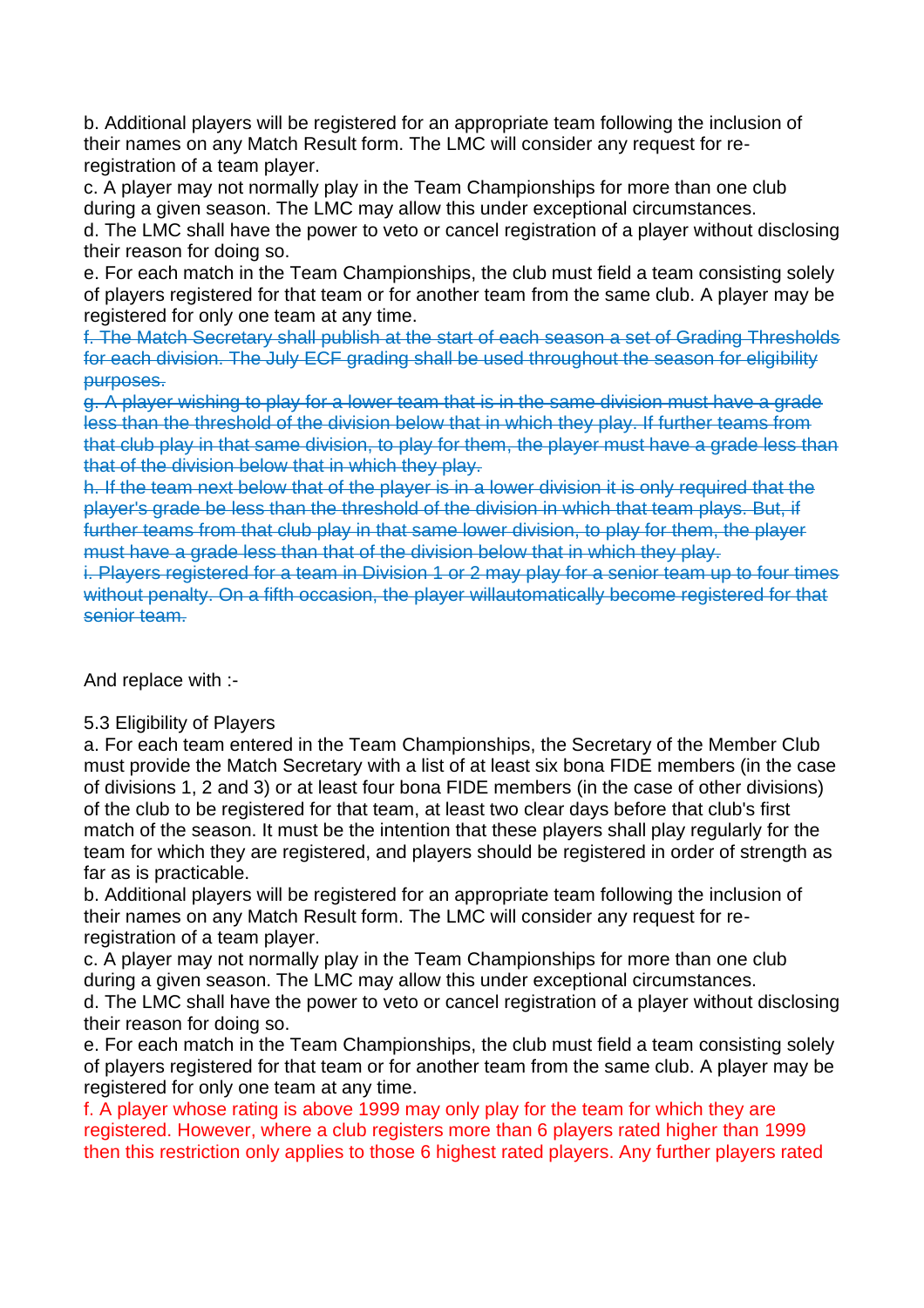b. Additional players will be registered for an appropriate team following the inclusion of their names on any Match Result form. The LMC will consider any request for reregistration of a team player.

c. A player may not normally play in the Team Championships for more than one club during a given season. The LMC may allow this under exceptional circumstances.

d. The LMC shall have the power to veto or cancel registration of a player without disclosing their reason for doing so.

e. For each match in the Team Championships, the club must field a team consisting solely of players registered for that team or for another team from the same club. A player may be registered for only one team at any time.

f. The Match Secretary shall publish at the start of each season a set of Grading Thresholds for each division. The July ECF grading shall be used throughout the season for eligibility purposes.

g. A player wishing to play for a lower team that is in the same division must have a grade less than the threshold of the division below that in which they play. If further teams from that club play in that same division, to play for them, the player must have a grade less than that of the division below that in which they play.

h. If the team next below that of the player is in a lower division it is only required that the player's grade be less than the threshold of the division in which that team plays. But, if further teams from that club play in that same lower division, to play for them, the player must have a grade less than that of the division below that in which they play.

i. Players registered for a team in Division 1 or 2 may play for a senior team up to four times without penalty. On a fifth occasion, the player willautomatically become registered for that senior team.

And replace with :-

#### 5.3 Eligibility of Players

a. For each team entered in the Team Championships, the Secretary of the Member Club must provide the Match Secretary with a list of at least six bona FIDE members (in the case of divisions 1, 2 and 3) or at least four bona FIDE members (in the case of other divisions) of the club to be registered for that team, at least two clear days before that club's first match of the season. It must be the intention that these players shall play regularly for the team for which they are registered, and players should be registered in order of strength as far as is practicable.

b. Additional players will be registered for an appropriate team following the inclusion of their names on any Match Result form. The LMC will consider any request for reregistration of a team player.

c. A player may not normally play in the Team Championships for more than one club during a given season. The LMC may allow this under exceptional circumstances.

d. The LMC shall have the power to veto or cancel registration of a player without disclosing their reason for doing so.

e. For each match in the Team Championships, the club must field a team consisting solely of players registered for that team or for another team from the same club. A player may be registered for only one team at any time.

f. A player whose rating is above 1999 may only play for the team for which they are registered. However, where a club registers more than 6 players rated higher than 1999 then this restriction only applies to those 6 highest rated players. Any further players rated